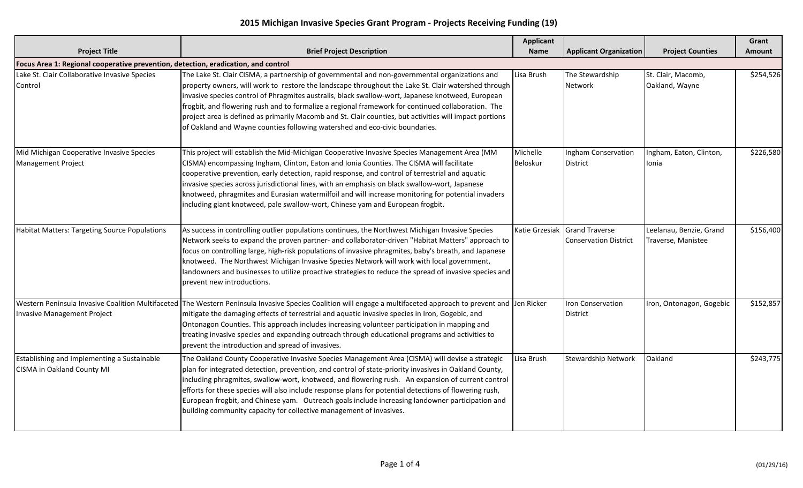## **2015 Michigan Invasive Species Grant Program - Projects Receiving Funding (19)**

|                                                                                    |                                                                                                                                                                                                                                                                                                                                                                                                                                                                                                                                                                                                            | Applicant            |                                                               |                                               | Grant     |
|------------------------------------------------------------------------------------|------------------------------------------------------------------------------------------------------------------------------------------------------------------------------------------------------------------------------------------------------------------------------------------------------------------------------------------------------------------------------------------------------------------------------------------------------------------------------------------------------------------------------------------------------------------------------------------------------------|----------------------|---------------------------------------------------------------|-----------------------------------------------|-----------|
| <b>Project Title</b>                                                               | <b>Brief Project Description</b>                                                                                                                                                                                                                                                                                                                                                                                                                                                                                                                                                                           | <b>Name</b>          | <b>Applicant Organization</b>                                 | <b>Project Counties</b>                       | Amount    |
| Focus Area 1: Regional cooperative prevention, detection, eradication, and control |                                                                                                                                                                                                                                                                                                                                                                                                                                                                                                                                                                                                            |                      |                                                               |                                               |           |
| Lake St. Clair Collaborative Invasive Species<br>Control                           | The Lake St. Clair CISMA, a partnership of governmental and non-governmental organizations and<br>property owners, will work to restore the landscape throughout the Lake St. Clair watershed through<br>invasive species control of Phragmites australis, black swallow-wort, Japanese knotweed, European<br>frogbit, and flowering rush and to formalize a regional framework for continued collaboration. The<br>project area is defined as primarily Macomb and St. Clair counties, but activities will impact portions<br>of Oakland and Wayne counties following watershed and eco-civic boundaries. | Lisa Brush           | The Stewardship<br>Network                                    | St. Clair, Macomb,<br>Oakland, Wayne          | \$254,526 |
| Mid Michigan Cooperative Invasive Species<br><b>Management Project</b>             | This project will establish the Mid-Michigan Cooperative Invasive Species Management Area (MM<br>CISMA) encompassing Ingham, Clinton, Eaton and Ionia Counties. The CISMA will facilitate<br>cooperative prevention, early detection, rapid response, and control of terrestrial and aquatic<br>invasive species across jurisdictional lines, with an emphasis on black swallow-wort, Japanese<br>knotweed, phragmites and Eurasian watermilfoil and will increase monitoring for potential invaders<br>including giant knotweed, pale swallow-wort, Chinese yam and European frogbit.                     | Michelle<br>Beloskur | Ingham Conservation<br>District                               | Ingham, Eaton, Clinton,<br>Ionia              | \$226,580 |
| <b>Habitat Matters: Targeting Source Populations</b>                               | As success in controlling outlier populations continues, the Northwest Michigan Invasive Species<br>Network seeks to expand the proven partner- and collaborator-driven "Habitat Matters" approach to<br>focus on controlling large, high-risk populations of invasive phragmites, baby's breath, and Japanese<br>knotweed. The Northwest Michigan Invasive Species Network will work with local government,<br>landowners and businesses to utilize proactive strategies to reduce the spread of invasive species and<br>prevent new introductions.                                                       |                      | Katie Grzesiak Grand Traverse<br><b>Conservation District</b> | Leelanau, Benzie, Grand<br>Traverse, Manistee | \$156,400 |
| <b>Invasive Management Project</b>                                                 | Western Peninsula Invasive Coalition Multifaceted The Western Peninsula Invasive Species Coalition will engage a multifaceted approach to prevent and Jen Ricker<br>mitigate the damaging effects of terrestrial and aquatic invasive species in Iron, Gogebic, and<br>Ontonagon Counties. This approach includes increasing volunteer participation in mapping and<br>treating invasive species and expanding outreach through educational programs and activities to<br>prevent the introduction and spread of invasives.                                                                                |                      | <b>Iron Conservation</b><br><b>District</b>                   | Iron, Ontonagon, Gogebic                      | \$152,857 |
| Establishing and Implementing a Sustainable<br>CISMA in Oakland County MI          | The Oakland County Cooperative Invasive Species Management Area (CISMA) will devise a strategic<br>plan for integrated detection, prevention, and control of state-priority invasives in Oakland County,<br>including phragmites, swallow-wort, knotweed, and flowering rush. An expansion of current control<br>efforts for these species will also include response plans for potential detections of flowering rush,<br>European frogbit, and Chinese yam. Outreach goals include increasing landowner participation and<br>building community capacity for collective management of invasives.         | Lisa Brush           | <b>Stewardship Network</b>                                    | Oakland                                       | \$243,775 |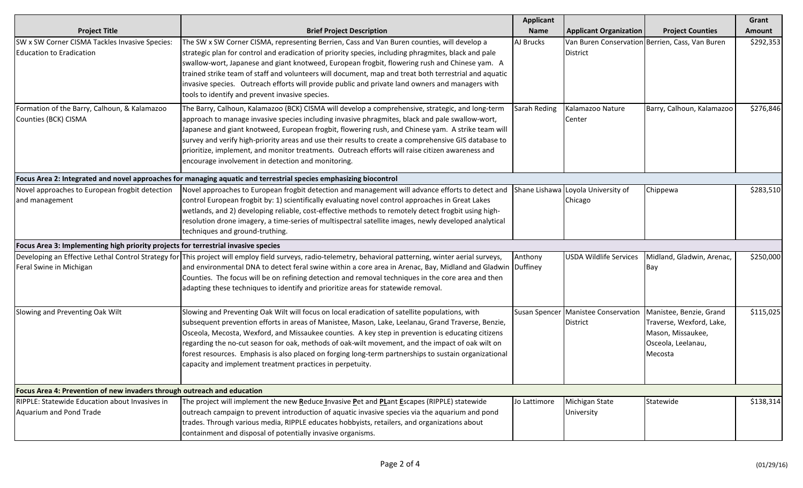| <b>Project Title</b>                                                               | <b>Brief Project Description</b>                                                                                                                                                                                                                                                                                                                                                                                                                                                                                                                                                    | <b>Applicant</b><br><b>Name</b> | <b>Applicant Organization</b>                            | <b>Project Counties</b>                                                                                   | Grant<br>Amount |
|------------------------------------------------------------------------------------|-------------------------------------------------------------------------------------------------------------------------------------------------------------------------------------------------------------------------------------------------------------------------------------------------------------------------------------------------------------------------------------------------------------------------------------------------------------------------------------------------------------------------------------------------------------------------------------|---------------------------------|----------------------------------------------------------|-----------------------------------------------------------------------------------------------------------|-----------------|
| SW x SW Corner CISMA Tackles Invasive Species:<br><b>Education to Eradication</b>  | The SW x SW Corner CISMA, representing Berrien, Cass and Van Buren counties, will develop a<br>strategic plan for control and eradication of priority species, including phragmites, black and pale<br>swallow-wort, Japanese and giant knotweed, European frogbit, flowering rush and Chinese yam. A<br>trained strike team of staff and volunteers will document, map and treat both terrestrial and aquatic<br>invasive species. Outreach efforts will provide public and private land owners and managers with<br>tools to identify and prevent invasive species.               | AJ Brucks                       | <b>District</b>                                          | Van Buren Conservation Berrien, Cass, Van Buren                                                           | \$292,353       |
| Formation of the Barry, Calhoun, & Kalamazoo<br>Counties (BCK) CISMA               | The Barry, Calhoun, Kalamazoo (BCK) CISMA will develop a comprehensive, strategic, and long-term<br>approach to manage invasive species including invasive phragmites, black and pale swallow-wort,<br>Japanese and giant knotweed, European frogbit, flowering rush, and Chinese yam. A strike team will<br>survey and verify high-priority areas and use their results to create a comprehensive GIS database to<br>prioritize, implement, and monitor treatments. Outreach efforts will raise citizen awareness and<br>encourage involvement in detection and monitoring.        | Sarah Reding                    | Kalamazoo Nature<br>Center                               | Barry, Calhoun, Kalamazoo                                                                                 | \$276,846       |
|                                                                                    | Focus Area 2: Integrated and novel approaches for managing aquatic and terrestrial species emphasizing biocontrol                                                                                                                                                                                                                                                                                                                                                                                                                                                                   |                                 |                                                          |                                                                                                           |                 |
| Novel approaches to European frogbit detection<br>and management                   | Novel approaches to European frogbit detection and management will advance efforts to detect and Shane Lishawa Loyola University of<br>control European frogbit by: 1) scientifically evaluating novel control approaches in Great Lakes<br>wetlands, and 2) developing reliable, cost-effective methods to remotely detect frogbit using high-<br>resolution drone imagery, a time-series of multispectral satellite images, newly developed analytical<br>techniques and ground-truthing.                                                                                         |                                 | Chicago                                                  | Chippewa                                                                                                  | \$283,510       |
| Focus Area 3: Implementing high priority projects for terrestrial invasive species |                                                                                                                                                                                                                                                                                                                                                                                                                                                                                                                                                                                     |                                 |                                                          |                                                                                                           |                 |
| Feral Swine in Michigan                                                            | Developing an Effective Lethal Control Strategy for This project will employ field surveys, radio-telemetry, behavioral patterning, winter aerial surveys,<br>and environmental DNA to detect feral swine within a core area in Arenac, Bay, Midland and Gladwin Duffiney<br>Counties. The focus will be on refining detection and removal techniques in the core area and then<br>adapting these techniques to identify and prioritize areas for statewide removal.                                                                                                                | Anthony                         | <b>USDA Wildlife Services</b>                            | Midland, Gladwin, Arenac,<br>Bay                                                                          | \$250,000       |
| Slowing and Preventing Oak Wilt                                                    | Slowing and Preventing Oak Wilt will focus on local eradication of satellite populations, with<br>subsequent prevention efforts in areas of Manistee, Mason, Lake, Leelanau, Grand Traverse, Benzie,<br>Osceola, Mecosta, Wexford, and Missaukee counties. A key step in prevention is educating citizens<br>regarding the no-cut season for oak, methods of oak-wilt movement, and the impact of oak wilt on<br>forest resources. Emphasis is also placed on forging long-term partnerships to sustain organizational<br>capacity and implement treatment practices in perpetuity. |                                 | Susan Spencer   Manistee Conservation<br><b>District</b> | Manistee, Benzie, Grand<br>Traverse, Wexford, Lake,<br>Mason, Missaukee,<br>Osceola, Leelanau,<br>Mecosta | \$115,025       |
| Focus Area 4: Prevention of new invaders through outreach and education            |                                                                                                                                                                                                                                                                                                                                                                                                                                                                                                                                                                                     |                                 |                                                          |                                                                                                           |                 |
| RIPPLE: Statewide Education about Invasives in<br>Aquarium and Pond Trade          | The project will implement the new Reduce Invasive Pet and PLant Escapes (RIPPLE) statewide<br>outreach campaign to prevent introduction of aquatic invasive species via the aquarium and pond<br>trades. Through various media, RIPPLE educates hobbyists, retailers, and organizations about<br>containment and disposal of potentially invasive organisms.                                                                                                                                                                                                                       | Jo Lattimore                    | Michigan State<br>University                             | Statewide                                                                                                 | \$138,314       |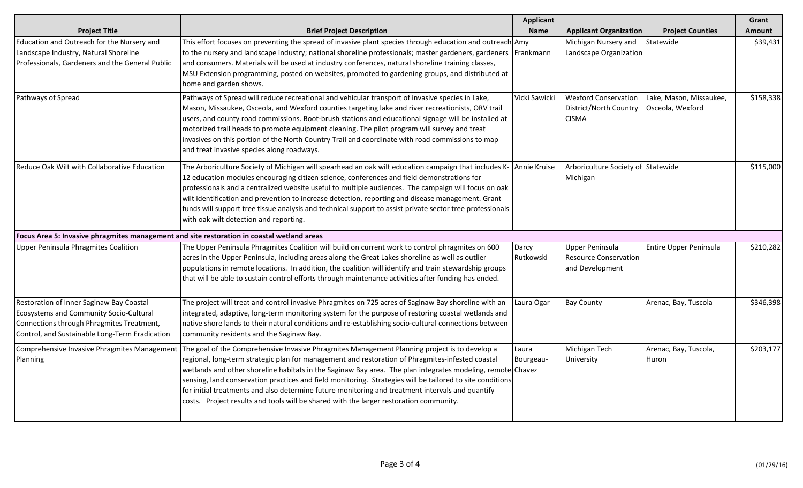|                                                                                                                                                                                    |                                                                                                                                                                                                                                                                                                                                                                                                                                                                                                                                                                                                                            | Applicant          |                                                                           |                                             | Grant     |
|------------------------------------------------------------------------------------------------------------------------------------------------------------------------------------|----------------------------------------------------------------------------------------------------------------------------------------------------------------------------------------------------------------------------------------------------------------------------------------------------------------------------------------------------------------------------------------------------------------------------------------------------------------------------------------------------------------------------------------------------------------------------------------------------------------------------|--------------------|---------------------------------------------------------------------------|---------------------------------------------|-----------|
| <b>Project Title</b>                                                                                                                                                               | <b>Brief Project Description</b>                                                                                                                                                                                                                                                                                                                                                                                                                                                                                                                                                                                           | <b>Name</b>        | <b>Applicant Organization</b>                                             | <b>Project Counties</b>                     | Amount    |
| Education and Outreach for the Nursery and<br>Landscape Industry, Natural Shoreline<br>Professionals, Gardeners and the General Public                                             | This effort focuses on preventing the spread of invasive plant species through education and outreach Amy<br>to the nursery and landscape industry; national shoreline professionals; master gardeners, gardeners   Frankmann<br>and consumers. Materials will be used at industry conferences, natural shoreline training classes,<br>MSU Extension programming, posted on websites, promoted to gardening groups, and distributed at<br>home and garden shows.                                                                                                                                                           |                    | Michigan Nursery and<br>Landscape Organization                            | Statewide                                   | \$39,431  |
| Pathways of Spread                                                                                                                                                                 | Pathways of Spread will reduce recreational and vehicular transport of invasive species in Lake,<br>Mason, Missaukee, Osceola, and Wexford counties targeting lake and river recreationists, ORV trail<br>users, and county road commissions. Boot-brush stations and educational signage will be installed at<br>motorized trail heads to promote equipment cleaning. The pilot program will survey and treat<br>invasives on this portion of the North Country Trail and coordinate with road commissions to map<br>and treat invasive species along roadways.                                                           | Vicki Sawicki      | <b>Wexford Conservation</b><br>District/North Country<br><b>CISMA</b>     | Lake, Mason, Missaukee,<br>Osceola, Wexford | \$158,338 |
| Reduce Oak Wilt with Collaborative Education                                                                                                                                       | The Arboriculture Society of Michigan will spearhead an oak wilt education campaign that includes K- Annie Kruise<br>12 education modules encouraging citizen science, conferences and field demonstrations for<br>professionals and a centralized website useful to multiple audiences. The campaign will focus on oak<br>wilt identification and prevention to increase detection, reporting and disease management. Grant<br>funds will support tree tissue analysis and technical support to assist private sector tree professionals<br>with oak wilt detection and reporting.                                        |                    | Arboriculture Society of Statewide<br>Michigan                            |                                             | \$115,000 |
| Focus Area 5: Invasive phragmites management and site restoration in coastal wetland areas                                                                                         |                                                                                                                                                                                                                                                                                                                                                                                                                                                                                                                                                                                                                            |                    |                                                                           |                                             |           |
| Upper Peninsula Phragmites Coalition                                                                                                                                               | The Upper Peninsula Phragmites Coalition will build on current work to control phragmites on 600<br>acres in the Upper Peninsula, including areas along the Great Lakes shoreline as well as outlier<br>populations in remote locations. In addition, the coalition will identify and train stewardship groups<br>that will be able to sustain control efforts through maintenance activities after funding has ended.                                                                                                                                                                                                     | Darcy<br>Rutkowski | <b>Upper Peninsula</b><br><b>Resource Conservation</b><br>and Development | Entire Upper Peninsula                      | \$210,282 |
| Restoration of Inner Saginaw Bay Coastal<br>Ecosystems and Community Socio-Cultural<br>Connections through Phragmites Treatment,<br>Control, and Sustainable Long-Term Eradication | The project will treat and control invasive Phragmites on 725 acres of Saginaw Bay shoreline with an<br>integrated, adaptive, long-term monitoring system for the purpose of restoring coastal wetlands and<br>native shore lands to their natural conditions and re-establishing socio-cultural connections between<br>community residents and the Saginaw Bay.                                                                                                                                                                                                                                                           | Laura Ogar         | <b>Bay County</b>                                                         | Arenac, Bay, Tuscola                        | \$346,398 |
| Comprehensive Invasive Phragmites Management<br>Planning                                                                                                                           | The goal of the Comprehensive Invasive Phragmites Management Planning project is to develop a<br>regional, long-term strategic plan for management and restoration of Phragmites-infested coastal<br>wetlands and other shoreline habitats in the Saginaw Bay area. The plan integrates modeling, remote Chavez<br>sensing, land conservation practices and field monitoring. Strategies will be tailored to site conditions<br>for initial treatments and also determine future monitoring and treatment intervals and quantify<br>costs. Project results and tools will be shared with the larger restoration community. | Laura<br>Bourgeau- | Michigan Tech<br>University                                               | Arenac, Bay, Tuscola,<br>Huron              | \$203,177 |